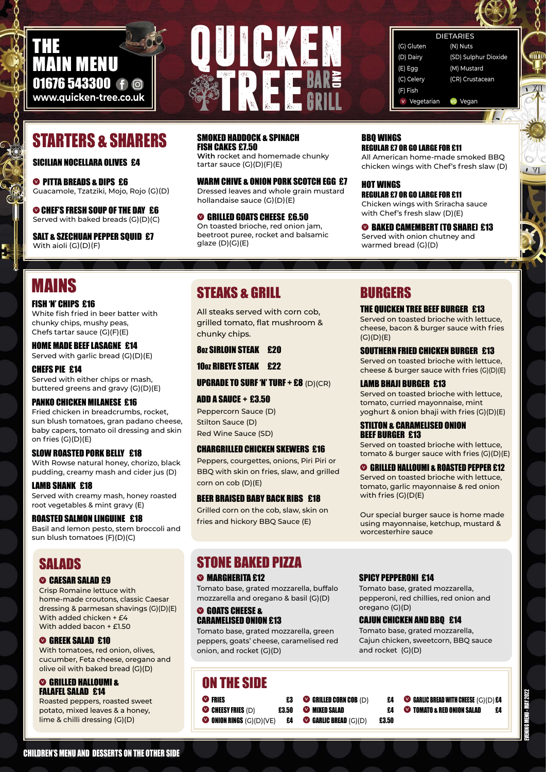

#### **DIETARIE**

#### SICILIAN NOCELLARA OLIVES £4

**<sup>** $\odot$ **</sup> PITTA BREADS & DIPS £6** Guacamole, Tzatziki, Mojo, Rojo (G)(D)

SALT & SZECHUAN PEPPER SOUID £7 With aioli (G)(D)(F)

**<sup>V</sup>**CHEF'S FRESH SOUP OF THE DAY£6 Served with baked breads (G)(D)(C) WARM CHIVE & ONION PORK SCOTCH EGG £7 Dressed leaves and whole grain mustard hollandaise sauce (G)(D)(E)

#### SMOKED HADDOCK & SPINACH FISH CAKES £7.50

**With** rocket and homemade chunky tartar sauce (G)(D)(F)(E)

> **<sup>O</sup>BAKED CAMEMBERT (TO SHARE) £13** Served with onion chutney and warmed bread (G)(D)

**<sup>V</sup>**GRILLED GOATS CHEESE £6.50 On toasted brioche, red onion jam, beetroot puree, rocket and balsamic glaze (D)(G)(E)

#### BBQ WINGS REGULAR £7 OR GO LARGE FOR £11

All American home-made smoked BBQ chicken wings with Chef's fresh slaw (D)

HOT WINGS REGULAR £7 OR GO LARGE FOR £11 Chicken wings with Sriracha sauce with Chef's fresh slaw (D)(E)

#### CHILDREN'S MENU AND DESSERTS ON THE OTHER SIDE

| (N) Nuts             |
|----------------------|
| (SD) Sulphur Dioxide |
| (M) Mustard          |
| (CR) Crustacean      |
|                      |
| vo Vegan             |
|                      |

# STEAKS & GRILL

All steaks served with corn cob, grilled tomato, flat mushroom & chunky chips.

#### 8OZ SIRLOIN STEAK £20

10oz RIBEYE STEAK £22

**UPGRADE TO SURF 'N' TURF + £8** (D)(CR)

# 01676 543300 f @ **www.quicken-tree.co.uk** THE MAIN MENU

#### ADD A SAUCE + £3.50

Peppercorn Sauce (D) Stilton Sauce (D) Red Wine Sauce (SD)

#### CHARGRILLED CHICKEN SKEWERS £16

Peppers, courgettes, onions, Piri Piri or BBQ with skin on fries, slaw, and grilled corn on cob (D)(E)

#### BEER BRAISED BABY BACK RIBS £18

Grilled corn on the cob, slaw, skin on fries and hickory BBQ Sauce (E)

# STARTERS & SHARERS

# BURGERS

#### THE QUICKEN TREE BEEF BURGER£13

## SALADS **<sup>** $\odot$ **</sup> CAESAR SALAD £9**

Served on toasted brioche with lettuce, cheese, bacon & burger sauce with fries (G)(D)(E)

#### SOUTHERN FRIED CHICKEN BURGER£13

Served on toasted brioche with lettuce, cheese & burger sauce with fries (G)(D)(E)

#### LAMB BHAJI BURGER £13

### STONE BAKED PIZZA **<sup>** $\odot$ **</sup> MARGHERITA £12**

Served on toasted brioche with lettuce, tomato, curried mayonnaise, mint yoghurt & onion bhaji with fries (G)(D)(E)

#### STILTON & CARAMELISED ONION BEEF BURGER £13

Served on toasted brioche with lettuce, tomato & burger sauce with fries (G)(D)(E)

#### **<sup>V</sup>**GRILLED HALLOUMI & ROASTED PEPPER £12

Served on toasted brioche with lettuce, tomato, garlic mayonnaise & red onion with fries (G)(D(E)

Our special burger sauce is home made using mayonnaise, ketchup, mustard & worcesterhire sauce



# MAINS

#### FISH 'N' CHIPS £16

White fish fried in beer batter with chunky chips, mushy peas, Chefs tartar sauce (G)(F)(E)

#### HOME MADE BEEF LASAGNE£14 Served with garlic bread (G)(D)(E)

CHEFS PIE£14 Served with either chips or mash, buttered greens and gravy (G)(D)(E)

### PANKO CHICKEN MILANESE £16

Fried chicken in breadcrumbs, rocket, sun blush tomatoes, gran padano cheese, baby capers, tomato oil dressing and skin on fries (G)(D)(E)

#### SLOW ROASTED PORK BELLY £18

With Rowse natural honey, chorizo, black pudding, creamy mash and cider jus (D)

#### LAMB SHANK£18

Served with creamy mash, honey roasted root vegetables & mint gravy (E)

#### ROASTED SALMON LINGUINE £18

Basil and lemon pesto, stem broccoli and sun blush tomatoes (F)(D)(C)

Crisp Romaine lettuce with home-made croutons, classic Caesar dressing & parmesan shavings (G)(D)(E) With added chicken + £4 With added bacon + £1.50

#### **<sup>V</sup>**GREEK SALAD £10

With tomatoes, red onion, olives, cucumber, Feta cheese, oregano and olive oil with baked bread (G)(D)

#### **<sup>V</sup>**GRILLED HALLOUMI & FALAFEL SALAD £14

Roasted peppers, roasted sweet potato, mixed leaves & a honey, lime & chilli dressing (G)(D)

Tomato base, grated mozzarella, buffalo mozzarella and oregano & basil (G)(D)

#### **<sup>V</sup>**GOATS CHEESE & CARAMELISED ONION £13

Tomato base, grated mozzarella, green peppers, goats' cheese, caramelised red onion, and rocket (G)(D)

#### SPICY PEPPERONI £14

Tomato base, grated mozzarella, pepperoni, red chillies, red onion and oregano (G)(D)

#### CAJUN CHICKEN AND BBQ £14

Tomato base, grated mozzarella, Cajun chicken, sweetcorn, BBQ sauce and rocket (G)(D)